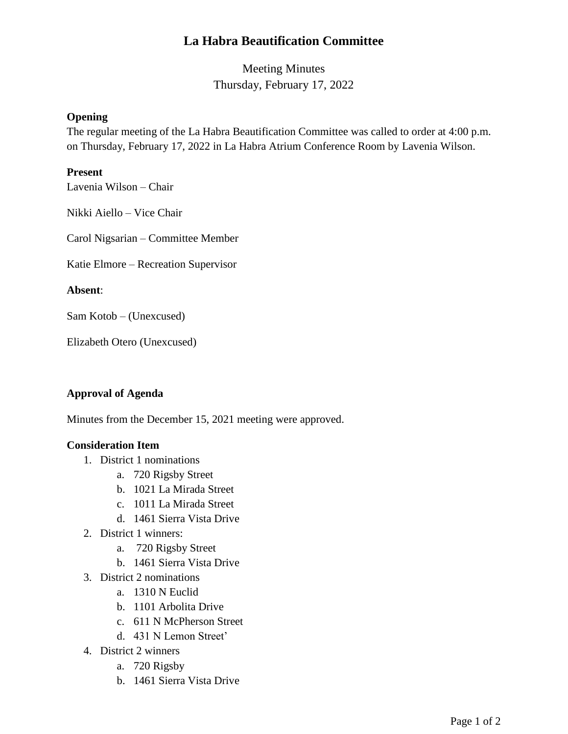# **La Habra Beautification Committee**

Meeting Minutes Thursday, February 17, 2022

## **Opening**

The regular meeting of the La Habra Beautification Committee was called to order at 4:00 p.m. on Thursday, February 17, 2022 in La Habra Atrium Conference Room by Lavenia Wilson.

### **Present**

Lavenia Wilson – Chair

Nikki Aiello – Vice Chair

Carol Nigsarian – Committee Member

Katie Elmore – Recreation Supervisor

#### **Absent**:

Sam Kotob – (Unexcused)

Elizabeth Otero (Unexcused)

## **Approval of Agenda**

Minutes from the December 15, 2021 meeting were approved.

## **Consideration Item**

- 1. District 1 nominations
	- a. 720 Rigsby Street
	- b. 1021 La Mirada Street
	- c. 1011 La Mirada Street
	- d. 1461 Sierra Vista Drive
- 2. District 1 winners:
	- a. 720 Rigsby Street
	- b. 1461 Sierra Vista Drive
- 3. District 2 nominations
	- a. 1310 N Euclid
	- b. 1101 Arbolita Drive
	- c. 611 N McPherson Street
	- d. 431 N Lemon Street'
- 4. District 2 winners
	- a. 720 Rigsby
	- b. 1461 Sierra Vista Drive